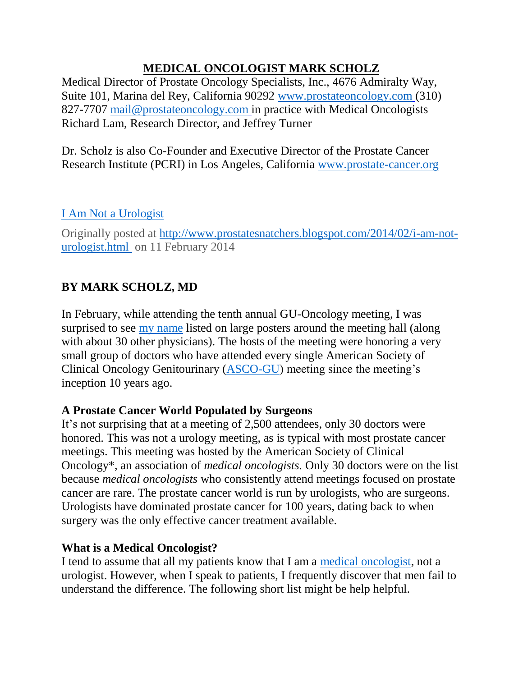## **MEDICAL ONCOLOGIST MARK SCHOLZ**

Medical Director of Prostate Oncology Specialists, Inc., 4676 Admiralty Way, Suite 101, Marina del Rey, California 90292 [www.prostateoncology.com](http://www.prostateoncology.com/) (310) 827-7707 [mail@prostateoncology.com](mailto:mail@prostateoncology.com) in practice with Medical Oncologists Richard Lam, Research Director, and Jeffrey Turner

Dr. Scholz is also Co-Founder and Executive Director of the Prostate Cancer Research Institute (PCRI) in Los Angeles, California [www.prostate-cancer.org](http://www.prostate-cancer.org/)

## [I Am Not a Urologist](http://feedproxy.google.com/~r/Prostatesnatchers/~3/SWQkfwEps3M/i-am-not-urologist.html?utm_source=feedburner&utm_medium=email)

Originally posted at [http://www.prostatesnatchers.blogspot.com/2014/02/i-am-not](http://www.prostatesnatchers.blogspot.com/2014/02/i-am-not-urologist.html%20on%2011%20Feb%202014)[urologist.html](http://www.prostatesnatchers.blogspot.com/2014/02/i-am-not-urologist.html%20on%2011%20Feb%202014) on 11 February 2014

## **BY MARK SCHOLZ, MD**

In February, while attending the tenth annual GU-Oncology meeting, I was surprised to see [my name](http://gucasym.org/10-year-attendees) listed on large posters around the meeting hall (along with about 30 other physicians). The hosts of the meeting were honoring a very small group of doctors who have attended every single American Society of Clinical Oncology Genitourinary [\(ASCO-GU\)](http://gucasym.org/) meeting since the meeting's inception 10 years ago.

## **A Prostate Cancer World Populated by Surgeons**

It's not surprising that at a meeting of 2,500 attendees, only 30 doctors were honored. This was not a urology meeting, as is typical with most prostate cancer meetings. This meeting was hosted by the American Society of Clinical Oncology\*, an association of *medical oncologists.* Only 30 doctors were on the list because *medical oncologists* who consistently attend meetings focused on prostate cancer are rare. The prostate cancer world is run by urologists, who are surgeons. Urologists have dominated prostate cancer for 100 years, dating back to when surgery was the only effective cancer treatment available.

#### **What is a Medical Oncologist?**

I tend to assume that all my patients know that I am a [medical oncologist,](http://markscholz.com/) not a urologist. However, when I speak to patients, I frequently discover that men fail to understand the difference. The following short list might be help helpful.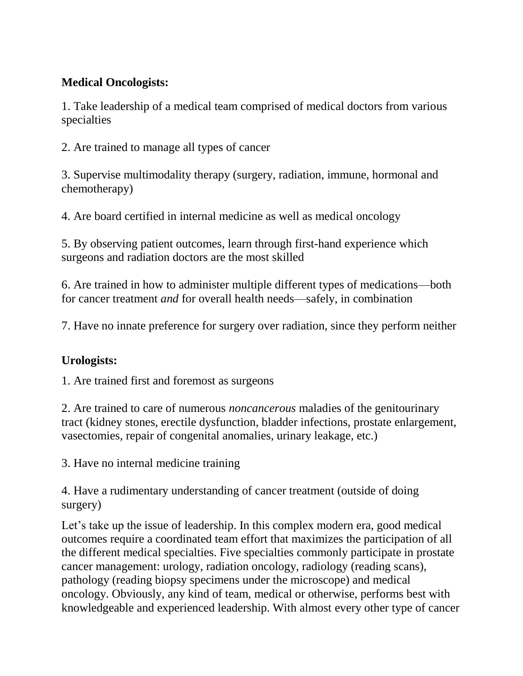### **Medical Oncologists:**

1. Take leadership of a medical team comprised of medical doctors from various specialties

2. Are trained to manage all types of cancer

3. Supervise multimodality therapy (surgery, radiation, immune, hormonal and chemotherapy)

4. Are board certified in internal medicine as well as medical oncology

5. By observing patient outcomes, learn through first-hand experience which surgeons and radiation doctors are the most skilled

6. Are trained in how to administer multiple different types of medications—both for cancer treatment *and* for overall health needs—safely, in combination

7. Have no innate preference for surgery over radiation, since they perform neither

## **Urologists:**

1. Are trained first and foremost as surgeons

2. Are trained to care of numerous *noncancerous* maladies of the genitourinary tract (kidney stones, erectile dysfunction, bladder infections, prostate enlargement, vasectomies, repair of congenital anomalies, urinary leakage, etc.)

3. Have no internal medicine training

4. Have a rudimentary understanding of cancer treatment (outside of doing surgery)

Let's take up the issue of leadership. In this complex modern era, good medical outcomes require a coordinated team effort that maximizes the participation of all the different medical specialties. Five specialties commonly participate in prostate cancer management: urology, radiation oncology, radiology (reading scans), pathology (reading biopsy specimens under the microscope) and medical oncology. Obviously, any kind of team, medical or otherwise, performs best with knowledgeable and experienced leadership. With almost every other type of cancer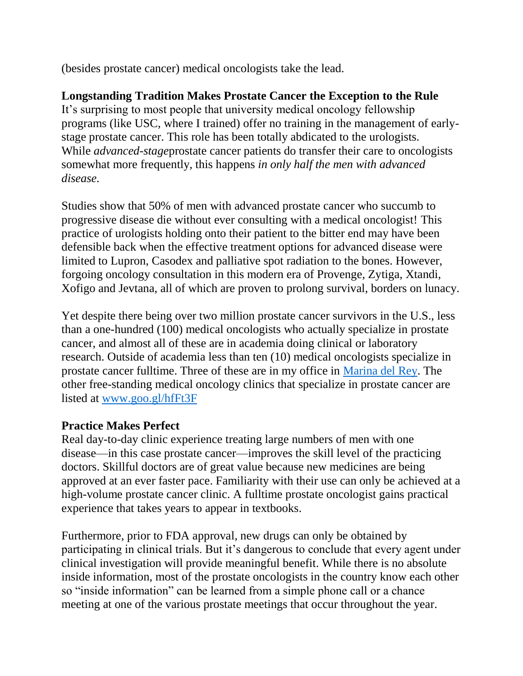(besides prostate cancer) medical oncologists take the lead.

# **Longstanding Tradition Makes Prostate Cancer the Exception to the Rule**

It's surprising to most people that university medical oncology fellowship programs (like USC, where I trained) offer no training in the management of earlystage prostate cancer. This role has been totally abdicated to the urologists. While *advanced-stage*prostate cancer patients do transfer their care to oncologists somewhat more frequently, this happens *in only half the men with advanced disease.*

Studies show that 50% of men with advanced prostate cancer who succumb to progressive disease die without ever consulting with a medical oncologist! This practice of urologists holding onto their patient to the bitter end may have been defensible back when the effective treatment options for advanced disease were limited to Lupron, Casodex and palliative spot radiation to the bones. However, forgoing oncology consultation in this modern era of Provenge, Zytiga, Xtandi, Xofigo and Jevtana, all of which are proven to prolong survival, borders on lunacy.

Yet despite there being over two million prostate cancer survivors in the U.S., less than a one-hundred (100) medical oncologists who actually specialize in prostate cancer, and almost all of these are in academia doing clinical or laboratory research. Outside of academia less than ten (10) medical oncologists specialize in prostate cancer fulltime. Three of these are in my office in [Marina del Rey.](http://prostateoncology.com/about%3Cstrong%3E%3C/strong%3E/medical_team) The other free-standing medical oncology clinics that specialize in prostate cancer are listed at [www.goo.gl/hfFt3F](http://www.goo.gl/hfFt3F)

#### **Practice Makes Perfect**

Real day-to-day clinic experience treating large numbers of men with one disease—in this case prostate cancer—improves the skill level of the practicing doctors. Skillful doctors are of great value because new medicines are being approved at an ever faster pace. Familiarity with their use can only be achieved at a high-volume prostate cancer clinic. A fulltime prostate oncologist gains practical experience that takes years to appear in textbooks.

Furthermore, prior to FDA approval, new drugs can only be obtained by participating in clinical trials. But it's dangerous to conclude that every agent under clinical investigation will provide meaningful benefit. While there is no absolute inside information, most of the prostate oncologists in the country know each other so "inside information" can be learned from a simple phone call or a chance meeting at one of the various prostate meetings that occur throughout the year.